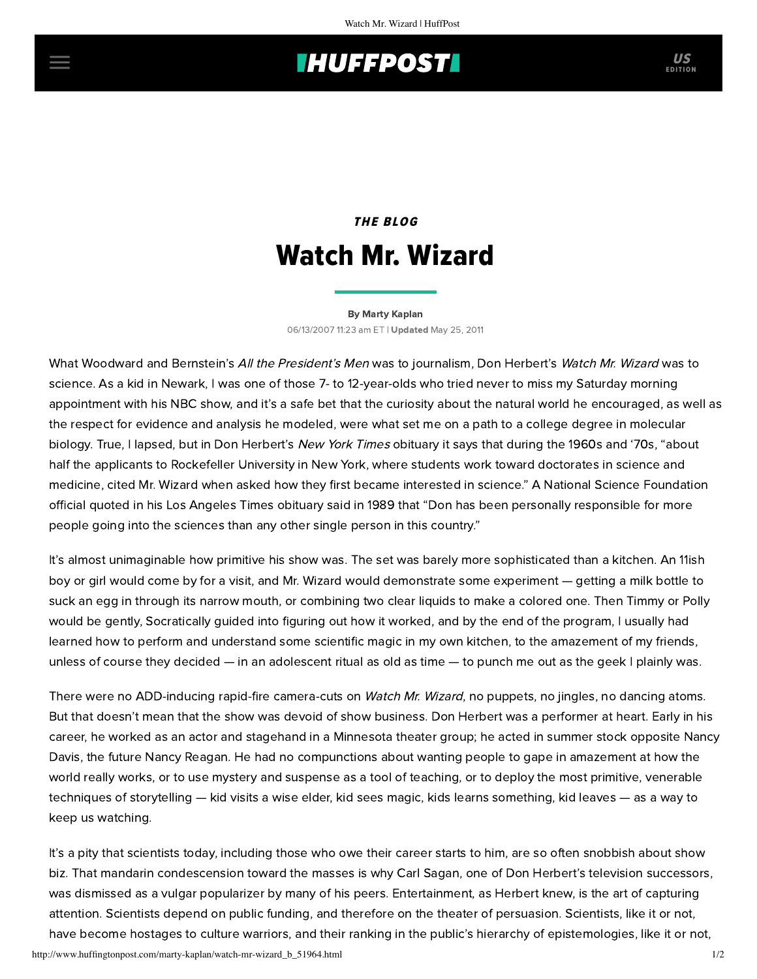# **THUFFPOST**

# THE BLOG Watch Mr. Wizard

### [By Marty Kaplan](http://www.huffingtonpost.com/author/marty-kaplan) 06/13/2007 11:23 am ET | Updated May 25, 2011

What Woodward and Bernstein's All the President's Men was to journalism, Don Herbert's Watch Mr. Wizard was to science. As a kid in Newark, I was one of those 7- to 12-year-olds who tried never to miss my Saturday morning appointment with his NBC show, and it's a safe bet that the curiosity about the natural world he encouraged, as well as the respect for evidence and analysis he modeled, were what set me on a path to a college degree in molecular biology. True, I lapsed, but in Don Herbert's New York Times [obituary](http://www.nytimes.com/2007/06/13/arts/13herbert.html?ref=obituaries) it says that during the 1960s and '70s, "about half the applicants to Rockefeller University in New York, where students work toward doctorates in science and medicine, cited Mr. Wizard when asked how they first became interested in science." A National Science Foundation official quoted in his Los Angeles Times [obituary](http://www.latimes.com/news/obituaries/la-me-herbert13jun13,1,7734644.story?coll=la-news-obituaries) said in 1989 that "Don has been personally responsible for more people going into the sciences than any other single person in this country."

It's almost unimaginable how primitive his show was. The set was barely more sophisticated than a kitchen. An 11ish boy or girl would come by for a visit, and Mr. Wizard would demonstrate some experiment — getting a milk bottle to suck an egg in through its narrow mouth, or combining two clear liquids to make a colored one. Then Timmy or Polly would be gently, Socratically guided into figuring out how it worked, and by the end of the program, I usually had learned how to perform and understand some scientific magic in my own kitchen, to the amazement of my friends, unless of course they decided — in an adolescent ritual as old as time — to punch me out as the geek I plainly was.

There were no ADD-inducing rapid-fire camera-cuts on Watch Mr. Wizard, no puppets, no jingles, no dancing atoms. But that doesn't mean that the show was devoid of show business. Don Herbert was a performer at heart. Early in his career, he worked as an actor and stagehand in a Minnesota theater group; he acted in summer stock opposite Nancy Davis, the future Nancy Reagan. He had no compunctions about wanting people to gape in amazement at how the world really works, or to use mystery and suspense as a tool of teaching, or to deploy the most primitive, venerable techniques of storytelling — kid visits a wise elder, kid sees magic, kids learns something, kid leaves — as a way to keep us watching.

It's a pity that scientists today, including those who owe their career starts to him, are so often snobbish about show biz. That mandarin condescension toward the masses is why Carl Sagan, one of Don Herbert's television successors, was dismissed as a vulgar popularizer by many of his peers. Entertainment, as Herbert knew, is the art of capturing attention. Scientists depend on public funding, and therefore on the theater of persuasion. Scientists, like it or not, have become hostages to culture warriors, and their ranking in the public's hierarchy of epistemologies, like it or not,